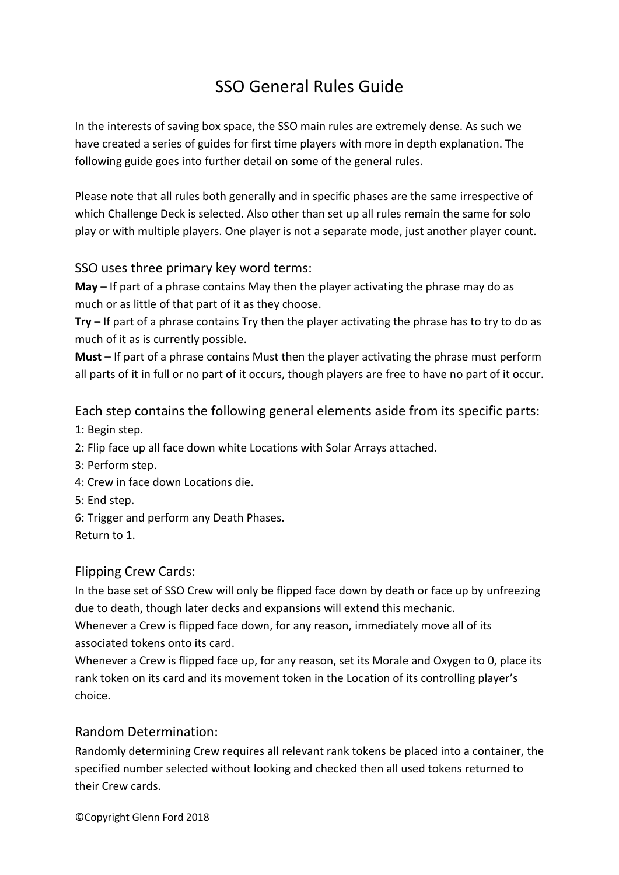# SSO General Rules Guide

In the interests of saving box space, the SSO main rules are extremely dense. As such we have created a series of guides for first time players with more in depth explanation. The following guide goes into further detail on some of the general rules.

Please note that all rules both generally and in specific phases are the same irrespective of which Challenge Deck is selected. Also other than set up all rules remain the same for solo play or with multiple players. One player is not a separate mode, just another player count.

## SSO uses three primary key word terms:

**May** – If part of a phrase contains May then the player activating the phrase may do as much or as little of that part of it as they choose.

**Try** – If part of a phrase contains Try then the player activating the phrase has to try to do as much of it as is currently possible.

**Must** – If part of a phrase contains Must then the player activating the phrase must perform all parts of it in full or no part of it occurs, though players are free to have no part of it occur.

Each step contains the following general elements aside from its specific parts:

1: Begin step.

2: Flip face up all face down white Locations with Solar Arrays attached.

- 3: Perform step.
- 4: Crew in face down Locations die.
- 5: End step.
- 6: Trigger and perform any Death Phases.

Return to 1.

## Flipping Crew Cards:

In the base set of SSO Crew will only be flipped face down by death or face up by unfreezing due to death, though later decks and expansions will extend this mechanic.

Whenever a Crew is flipped face down, for any reason, immediately move all of its associated tokens onto its card.

Whenever a Crew is flipped face up, for any reason, set its Morale and Oxygen to 0, place its rank token on its card and its movement token in the Location of its controlling player's choice.

## Random Determination:

Randomly determining Crew requires all relevant rank tokens be placed into a container, the specified number selected without looking and checked then all used tokens returned to their Crew cards.

©Copyright Glenn Ford 2018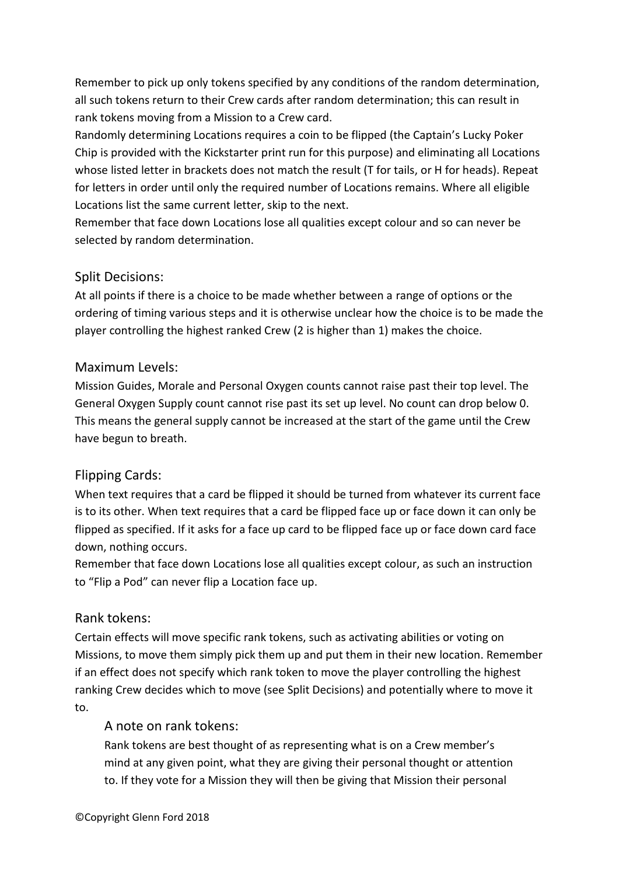Remember to pick up only tokens specified by any conditions of the random determination, all such tokens return to their Crew cards after random determination; this can result in rank tokens moving from a Mission to a Crew card.

Randomly determining Locations requires a coin to be flipped (the Captain's Lucky Poker Chip is provided with the Kickstarter print run for this purpose) and eliminating all Locations whose listed letter in brackets does not match the result (T for tails, or H for heads). Repeat for letters in order until only the required number of Locations remains. Where all eligible Locations list the same current letter, skip to the next.

Remember that face down Locations lose all qualities except colour and so can never be selected by random determination.

## Split Decisions:

At all points if there is a choice to be made whether between a range of options or the ordering of timing various steps and it is otherwise unclear how the choice is to be made the player controlling the highest ranked Crew (2 is higher than 1) makes the choice.

## Maximum Levels:

Mission Guides, Morale and Personal Oxygen counts cannot raise past their top level. The General Oxygen Supply count cannot rise past its set up level. No count can drop below 0. This means the general supply cannot be increased at the start of the game until the Crew have begun to breath.

## Flipping Cards:

When text requires that a card be flipped it should be turned from whatever its current face is to its other. When text requires that a card be flipped face up or face down it can only be flipped as specified. If it asks for a face up card to be flipped face up or face down card face down, nothing occurs.

Remember that face down Locations lose all qualities except colour, as such an instruction to "Flip a Pod" can never flip a Location face up.

## Rank tokens:

Certain effects will move specific rank tokens, such as activating abilities or voting on Missions, to move them simply pick them up and put them in their new location. Remember if an effect does not specify which rank token to move the player controlling the highest ranking Crew decides which to move (see Split Decisions) and potentially where to move it to.

## A note on rank tokens:

Rank tokens are best thought of as representing what is on a Crew member's mind at any given point, what they are giving their personal thought or attention to. If they vote for a Mission they will then be giving that Mission their personal